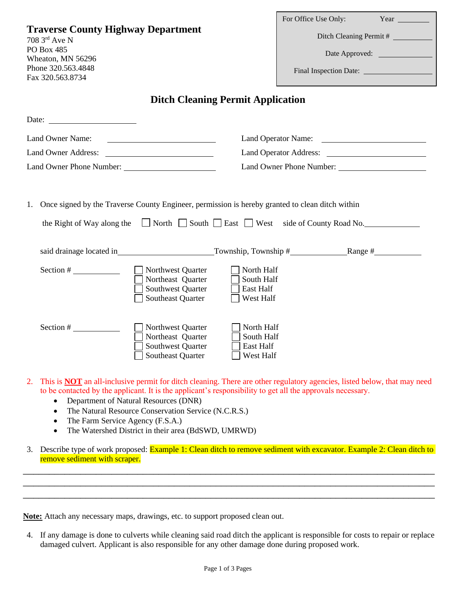|                                                                                                                                                                                                                                                                                                                                                                                                               | For Office Use Only:<br>Year |  |  |
|---------------------------------------------------------------------------------------------------------------------------------------------------------------------------------------------------------------------------------------------------------------------------------------------------------------------------------------------------------------------------------------------------------------|------------------------------|--|--|
| <b>Traverse County Highway Department</b><br>708 3rd Ave N                                                                                                                                                                                                                                                                                                                                                    | Ditch Cleaning Permit #      |  |  |
| <b>PO Box 485</b><br>Wheaton, MN 56296                                                                                                                                                                                                                                                                                                                                                                        | Date Approved:               |  |  |
| Phone 320.563.4848<br>Fax 320.563.8734                                                                                                                                                                                                                                                                                                                                                                        |                              |  |  |
|                                                                                                                                                                                                                                                                                                                                                                                                               |                              |  |  |
| <b>Ditch Cleaning Permit Application</b>                                                                                                                                                                                                                                                                                                                                                                      |                              |  |  |
| Date: $\frac{1}{\sqrt{1-\frac{1}{2}}\sqrt{1-\frac{1}{2}}\sqrt{1-\frac{1}{2}}\sqrt{1-\frac{1}{2}}\sqrt{1-\frac{1}{2}}\sqrt{1-\frac{1}{2}}\sqrt{1-\frac{1}{2}}\sqrt{1-\frac{1}{2}}\sqrt{1-\frac{1}{2}}\sqrt{1-\frac{1}{2}}\sqrt{1-\frac{1}{2}}\sqrt{1-\frac{1}{2}}\sqrt{1-\frac{1}{2}}\sqrt{1-\frac{1}{2}}\sqrt{1-\frac{1}{2}}\sqrt{1-\frac{1}{2}}\sqrt{1-\frac{1}{2}}\sqrt{1-\frac{1}{2}}\sqrt{1-\frac{1}{2}}$ |                              |  |  |
| Land Owner Name:<br>Land Operator Name:<br><u> 1980 - Johann Barbara, martin amerikan basar dan basa dan basa dan basa dan basa dan basa dan basa dan basa</u>                                                                                                                                                                                                                                                |                              |  |  |
|                                                                                                                                                                                                                                                                                                                                                                                                               |                              |  |  |
| Land Owner Phone Number:                                                                                                                                                                                                                                                                                                                                                                                      |                              |  |  |
| Once signed by the Traverse County Engineer, permission is hereby granted to clean ditch within<br>1.<br>the Right of Way along the $\Box$ North $\Box$ South $\Box$ East $\Box$ West side of County Road No.                                                                                                                                                                                                 |                              |  |  |
| said drainage located in Township, Township $\#$ Range $\#$                                                                                                                                                                                                                                                                                                                                                   |                              |  |  |
| Northwest Quarter<br>Section $#$<br>North Half<br>Northeast Quarter<br>South Half<br>Southwest Quarter<br>East Half<br>Southeast Quarter<br>West Half                                                                                                                                                                                                                                                         |                              |  |  |
| Northwest Quarter<br>North Half<br>Northeast Quarter<br>South Half<br>Southwest Quarter<br>East Half<br>Southeast Quarter<br>West Half                                                                                                                                                                                                                                                                        |                              |  |  |

- 2. This is **NOT** an all-inclusive permit for ditch cleaning. There are other regulatory agencies, listed below, that may need to be contacted by the applicant. It is the applicant's responsibility to get all the approvals necessary.
	- Department of Natural Resources (DNR)
	- The Natural Resource Conservation Service (N.C.R.S.)
	- The Farm Service Agency (F.S.A.)
	- The Watershed District in their area (BdSWD, UMRWD)
- 3. Describe type of work proposed: Example 1: Clean ditch to remove sediment with excavator. Example 2: Clean ditch to remove sediment with scraper.

\_\_\_\_\_\_\_\_\_\_\_\_\_\_\_\_\_\_\_\_\_\_\_\_\_\_\_\_\_\_\_\_\_\_\_\_\_\_\_\_\_\_\_\_\_\_\_\_\_\_\_\_\_\_\_\_\_\_\_\_\_\_\_\_\_\_\_\_\_\_\_\_\_\_\_\_\_\_\_ \_\_\_\_\_\_\_\_\_\_\_\_\_\_\_\_\_\_\_\_\_\_\_\_\_\_\_\_\_\_\_\_\_\_\_\_\_\_\_\_\_\_\_\_\_\_\_\_\_\_\_\_\_\_\_\_\_\_\_\_\_\_\_\_\_\_\_\_\_\_\_\_\_\_\_\_\_\_\_ \_\_\_\_\_\_\_\_\_\_\_\_\_\_\_\_\_\_\_\_\_\_\_\_\_\_\_\_\_\_\_\_\_\_\_\_\_\_\_\_\_\_\_\_\_\_\_\_\_\_\_\_\_\_\_\_\_\_\_\_\_\_\_\_\_\_\_\_\_\_\_\_\_\_\_\_\_\_\_

**Note:** Attach any necessary maps, drawings, etc. to support proposed clean out.

4. If any damage is done to culverts while cleaning said road ditch the applicant is responsible for costs to repair or replace damaged culvert. Applicant is also responsible for any other damage done during proposed work.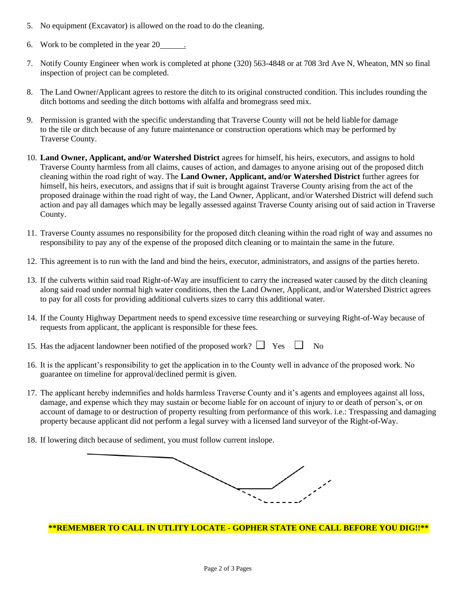- 5. No equipment (Excavator) is allowed on the road to do the cleaning.
- 6. Work to be completed in the year 20 .
- 7. Notify County Engineer when work is completed at phone (320) 563-4848 or at 708 3rd Ave N, Wheaton, MN so final inspection of project can be completed.
- 8. The Land Owner/Applicant agrees to restore the ditch to its original constructed condition. This includes rounding the ditch bottoms and seeding the ditch bottoms with alfalfa and bromegrass seed mix.
- 9. Permission is granted with the specific understanding that Traverse County will not be held liable for damage to the tile or ditch because of any future maintenance or construction operations which may be performed by Traverse County.
- 10. **Land Owner, Applicant, and/or Watershed District** agrees for himself, his heirs, executors, and assigns to hold Traverse County harmless from all claims, causes of action, and damages to anyone arising out of the proposed ditch cleaning within the road right of way. The **Land Owner, Applicant, and/or Watershed District** further agrees for himself, his heirs, executors, and assigns that if suit is brought against Traverse County arising from the act of the proposed drainage within the road right of way, the Land Owner, Applicant, and/or Watershed District will defend such action and pay all damages which may be legally assessed against Traverse County arising out of said action in Traverse County.
- 11. Traverse County assumes no responsibility for the proposed ditch cleaning within the road right of way and assumes no responsibility to pay any of the expense of the proposed ditch cleaning or to maintain the same in the future.
- 12. This agreement is to run with the land and bind the heirs, executor, administrators, and assigns of the parties hereto.
- 13. If the culverts within said road Right-of-Way are insufficient to carry the increased water caused by the ditch cleaning along said road under normal high water conditions, then the Land Owner, Applicant, and/or Watershed District agrees to pay for all costs for providing additional culverts sizes to carry this additional water.
- 14. If the County Highway Department needs to spend excessive time researching or surveying Right-of-Way because of requests from applicant, the applicant is responsible for these fees.
- 15. Has the adjacent landowner been notified of the proposed work?  $\Box$  Yes  $\Box$  No
- 16. It is the applicant's responsibility to get the application in to the County well in advance of the proposed work. No guarantee on timeline for approval/declined permit is given.
- 17. The applicant hereby indemnifies and holds harmless Traverse County and it's agents and employees against all loss, damage, and expense which they may sustain or become liable for on account of injury to or death of person's, or on account of damage to or destruction of property resulting from performance of this work. i.e.: Trespassing and damaging property because applicant did not perform a legal survey with a licensed land surveyor of the Right-of-Way.
- 18. If lowering ditch because of sediment, you must follow current inslope.



## **\*\*REMEMBER TO CALL IN UTLITY LOCATE - GOPHER STATE ONE CALL BEFORE YOU DIG!!\*\***